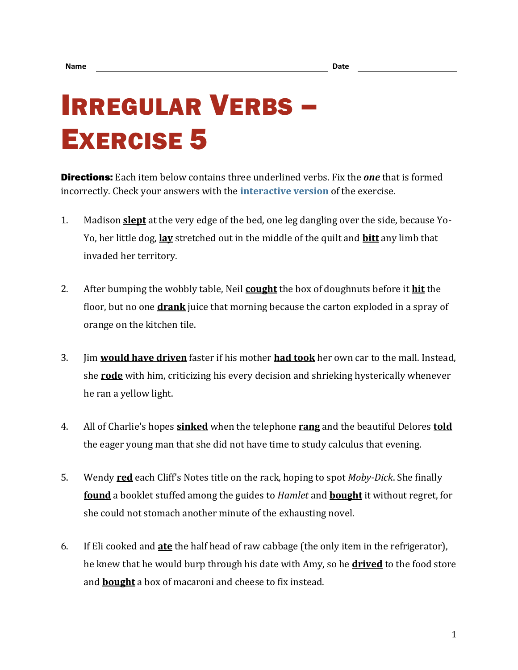## IRREGULAR VERBS – EXERCISE 5

Directions: Each item below contains three underlined verbs. Fix the *one* that is formed incorrectly. Check your answers with the **[interactive version](https://chompchomp.com/irregular05/)** of the exercise.

- 1. Madison **slept** at the very edge of the bed, one leg dangling over the side, because Yo-Yo, her little dog, **lay** stretched out in the middle of the quilt and **bitt** any limb that invaded her territory.
- 2. After bumping the wobbly table, Neil **cought** the box of doughnuts before it **hit** the floor, but no one **drank** juice that morning because the carton exploded in a spray of orange on the kitchen tile.
- 3. Jim **would have driven** faster if his mother **had took** her own car to the mall. Instead, she **rode** with him, criticizing his every decision and shrieking hysterically whenever he ran a yellow light.
- 4. All of Charlie's hopes **sinked** when the telephone **rang** and the beautiful Delores **told** the eager young man that she did not have time to study calculus that evening.
- 5. Wendy **red** each Cliff's Notes title on the rack, hoping to spot *Moby-Dick*. She finally **found** a booklet stuffed among the guides to *Hamlet* and **bought** it without regret, for she could not stomach another minute of the exhausting novel.
- 6. If Eli cooked and **ate** the half head of raw cabbage (the only item in the refrigerator), he knew that he would burp through his date with Amy, so he **drived** to the food store and **bought** a box of macaroni and cheese to fix instead.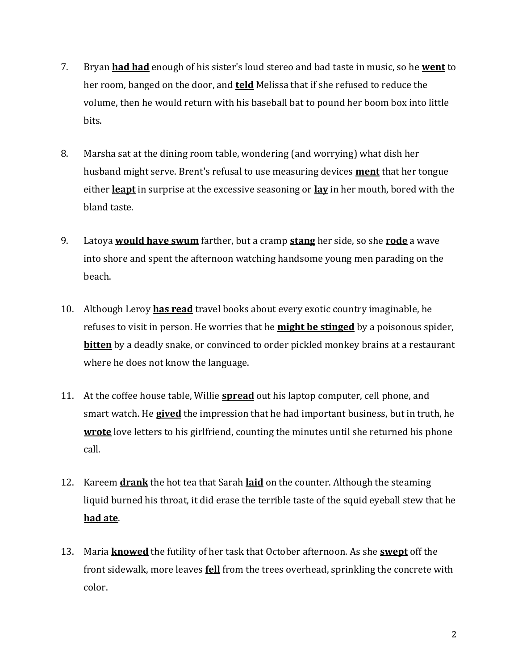- 7. Bryan **had had** enough of his sister's loud stereo and bad taste in music, so he **went** to her room, banged on the door, and **teld** Melissa that if she refused to reduce the volume, then he would return with his baseball bat to pound her boom box into little bits.
- 8. Marsha sat at the dining room table, wondering (and worrying) what dish her husband might serve. Brent's refusal to use measuring devices **ment** that her tongue either **leapt** in surprise at the excessive seasoning or **lay** in her mouth, bored with the bland taste.
- 9. Latoya **would have swum** farther, but a cramp **stang** her side, so she **rode** a wave into shore and spent the afternoon watching handsome young men parading on the beach.
- 10. Although Leroy **has read** travel books about every exotic country imaginable, he refuses to visit in person. He worries that he **might be stinged** by a poisonous spider, **bitten** by a deadly snake, or convinced to order pickled monkey brains at a restaurant where he does not know the language.
- 11. At the coffee house table, Willie **spread** out his laptop computer, cell phone, and smart watch. He **gived** the impression that he had important business, but in truth, he **wrote** love letters to his girlfriend, counting the minutes until she returned his phone call.
- 12. Kareem **drank** the hot tea that Sarah **laid** on the counter. Although the steaming liquid burned his throat, it did erase the terrible taste of the squid eyeball stew that he **had ate**.
- 13. Maria **knowed** the futility of her task that October afternoon. As she **swept** off the front sidewalk, more leaves **fell** from the trees overhead, sprinkling the concrete with color.